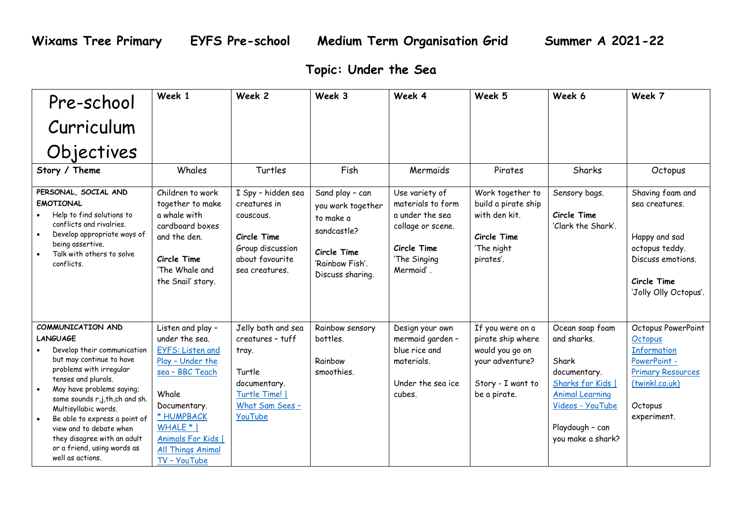## **Topic: Under the Sea**

| Pre-school                                                                                                                                                                                                                                                                                                                                                              | Week 1                                                                                                                                                                               | Week 2                                                                                                                  | Week 3                                                                                                                 | Week 4                                                                                                                  | Week 5                                                                                             | Week 6                                                                                                                                          | Week 7                                                                                                                             |
|-------------------------------------------------------------------------------------------------------------------------------------------------------------------------------------------------------------------------------------------------------------------------------------------------------------------------------------------------------------------------|--------------------------------------------------------------------------------------------------------------------------------------------------------------------------------------|-------------------------------------------------------------------------------------------------------------------------|------------------------------------------------------------------------------------------------------------------------|-------------------------------------------------------------------------------------------------------------------------|----------------------------------------------------------------------------------------------------|-------------------------------------------------------------------------------------------------------------------------------------------------|------------------------------------------------------------------------------------------------------------------------------------|
| Curriculum                                                                                                                                                                                                                                                                                                                                                              |                                                                                                                                                                                      |                                                                                                                         |                                                                                                                        |                                                                                                                         |                                                                                                    |                                                                                                                                                 |                                                                                                                                    |
| Objectives                                                                                                                                                                                                                                                                                                                                                              |                                                                                                                                                                                      |                                                                                                                         |                                                                                                                        |                                                                                                                         |                                                                                                    |                                                                                                                                                 |                                                                                                                                    |
| Story / Theme                                                                                                                                                                                                                                                                                                                                                           | Whales                                                                                                                                                                               | Turtles                                                                                                                 | Fish                                                                                                                   | Mermaids                                                                                                                | Pirates                                                                                            | Sharks                                                                                                                                          | Octopus                                                                                                                            |
| PERSONAL, SOCIAL AND<br><b>EMOTIONAL</b><br>Help to find solutions to<br>conflicts and rivalries.<br>Develop appropriate ways of<br>$\bullet$<br>being assertive.<br>Talk with others to solve<br>conflicts.                                                                                                                                                            | Children to work<br>together to make<br>a whale with<br>cardboard boxes<br>and the den.<br>Circle Time<br>'The Whale and<br>the Snail' story.                                        | I Spy - hidden sea<br>creatures in<br>couscous.<br>Circle Time<br>Group discussion<br>about favourite<br>sea creatures. | Sand play - can<br>you work together<br>to make a<br>sandcastle?<br>Circle Time<br>'Rainbow Fish'.<br>Discuss sharing. | Use variety of<br>materials to form<br>a under the sea<br>collage or scene.<br>Circle Time<br>'The Singing<br>Mermaid'. | Work together to<br>build a pirate ship<br>with den kit.<br>Circle Time<br>'The night<br>pirates'. | Sensory bags.<br>Circle Time<br>'Clark the Shark'.                                                                                              | Shaving foam and<br>sea creatures.<br>Happy and sad<br>octopus teddy.<br>Discuss emotions.<br>Circle Time<br>'Jolly Olly Octopus'. |
| COMMUNICATION AND<br><b>LANGUAGE</b>                                                                                                                                                                                                                                                                                                                                    | Listen and play -<br>under the sea.                                                                                                                                                  | Jelly bath and sea                                                                                                      | Rainbow sensory                                                                                                        | Design your own                                                                                                         | If you were on a                                                                                   | Ocean soap foam                                                                                                                                 | Octopus PowerPoint                                                                                                                 |
| Develop their communication<br>but may continue to have<br>problems with irregular<br>tenses and plurals.<br>May have problems saying;<br>$\bullet$<br>some sounds r,j,th,ch and sh.<br>Multisyllabic words.<br>Be able to express a point of<br>$\bullet$<br>view and to debate when<br>they disagree with an adult<br>or a friend, using words as<br>well as actions. | <b>EYFS: Listen and</b><br>Play - Under the<br>sea - BBC Teach<br>Whale<br>Documentary.<br>* HUMPBACK<br>WHALE *  <br>Animals For Kids  <br><b>All Things Animal</b><br>TV - YouTube | creatures - tuff<br>tray.<br>Turtle<br>documentary.<br>Turtle Time!  <br>What Sam Sees -<br><b>YouTube</b>              | bottles.<br>Rainbow<br>smoothies.                                                                                      | mermaid garden -<br>blue rice and<br>materials.<br>Under the sea ice<br>cubes.                                          | pirate ship where<br>would you go on<br>your adventure?<br>Story - I want to<br>be a pirate.       | and sharks.<br>Shark<br>documentary.<br>Sharks for Kids  <br><b>Animal Learning</b><br>Videos - YouTube<br>Playdough - can<br>you make a shark? | <b>Octobus</b><br><b>Information</b><br>PowerPoint -<br><b>Primary Resources</b><br>(twinkl.co.uk)<br>Octopus<br>experiment.       |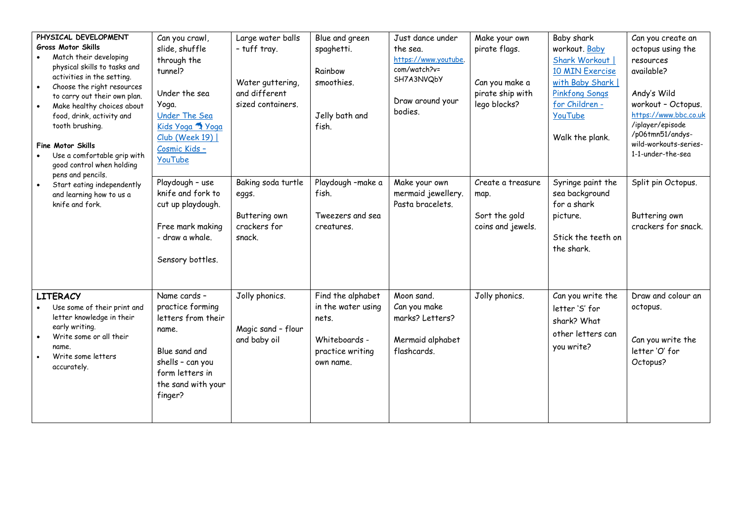| PHYSICAL DEVELOPMENT<br><b>Gross Motor Skills</b><br>Match their developing<br>physical skills to tasks and<br>activities in the setting.<br>Choose the right resources<br>$\bullet$<br>to carry out their own plan.<br>Make healthy choices about<br>food, drink, activity and<br>tooth brushing.<br>Fine Motor Skills<br>Use a comfortable grip with<br>good control when holding | Can you crawl,<br>slide, shuffle<br>through the<br>tunnel?<br>Under the sea<br>Yoga.<br><b>Under The Sea</b><br>Kids Yoga A Yoga<br>Club (Week 19)  <br>Cosmic Kids -<br><b>YouTube</b> | Large water balls<br>- tuff tray.<br>Water guttering,<br>and different<br>sized containers. | Blue and green<br>spaghetti.<br>Rainbow<br>smoothies.<br>Jelly bath and<br>fish.                   | Just dance under<br>the sea.<br>https://www.youtube.<br>com/watch?v=<br>SH7A3NVQbY<br>Draw around your<br>bodies. | Make your own<br>pirate flags.<br>Can you make a<br>pirate ship with<br>lego blocks? | Baby shark<br>workout. Baby<br>Shark Workout  <br>10 MIN Exercise<br>with Baby Shark  <br><b>Pinkfong Songs</b><br>for Children -<br>YouTube<br>Walk the plank. | Can you create an<br>octopus using the<br>resources<br>available?<br>Andy's Wild<br>workout - Octopus.<br>https://www.bbc.co.uk<br>/iplayer/episode<br>/p06tmn51/andys-<br>wild-workouts-series-<br>1-1-under-the-sea |
|-------------------------------------------------------------------------------------------------------------------------------------------------------------------------------------------------------------------------------------------------------------------------------------------------------------------------------------------------------------------------------------|-----------------------------------------------------------------------------------------------------------------------------------------------------------------------------------------|---------------------------------------------------------------------------------------------|----------------------------------------------------------------------------------------------------|-------------------------------------------------------------------------------------------------------------------|--------------------------------------------------------------------------------------|-----------------------------------------------------------------------------------------------------------------------------------------------------------------|-----------------------------------------------------------------------------------------------------------------------------------------------------------------------------------------------------------------------|
| pens and pencils.<br>Start eating independently<br>and learning how to us a<br>knife and fork.                                                                                                                                                                                                                                                                                      | Playdough - use<br>knife and fork to<br>cut up playdough.<br>Free mark making<br>- draw a whale.<br>Sensory bottles.                                                                    | Baking soda turtle<br>eggs.<br>Buttering own<br>crackers for<br>snack.                      | Playdough -make a<br>fish.<br>Tweezers and sea<br>creatures.                                       | Make your own<br>mermaid jewellery.<br>Pasta bracelets.                                                           | Create a treasure<br>map.<br>Sort the gold<br>coins and jewels.                      | Syringe paint the<br>sea background<br>for a shark<br>picture.<br>Stick the teeth on<br>the shark.                                                              | Split pin Octopus.<br>Buttering own<br>crackers for snack.                                                                                                                                                            |
| <b>LITERACY</b><br>Use some of their print and<br>letter knowledge in their<br>early writing.<br>Write some or all their<br>name.<br>Write some letters<br>accurately.                                                                                                                                                                                                              | Name cards -<br>practice forming<br>letters from their<br>name.<br>Blue sand and<br>shells - can you<br>form letters in<br>the sand with your<br>finger?                                | Jolly phonics.<br>Magic sand - flour<br>and baby oil                                        | Find the alphabet<br>in the water using<br>nets.<br>Whiteboards -<br>practice writing<br>own name. | Moon sand.<br>Can you make<br>marks? Letters?<br>Mermaid alphabet<br>flashcards.                                  | Jolly phonics.                                                                       | Can you write the<br>letter 'S' for<br>shark? What<br>other letters can<br>you write?                                                                           | Draw and colour an<br>octopus.<br>Can you write the<br>letter 'O' for<br>Octopus?                                                                                                                                     |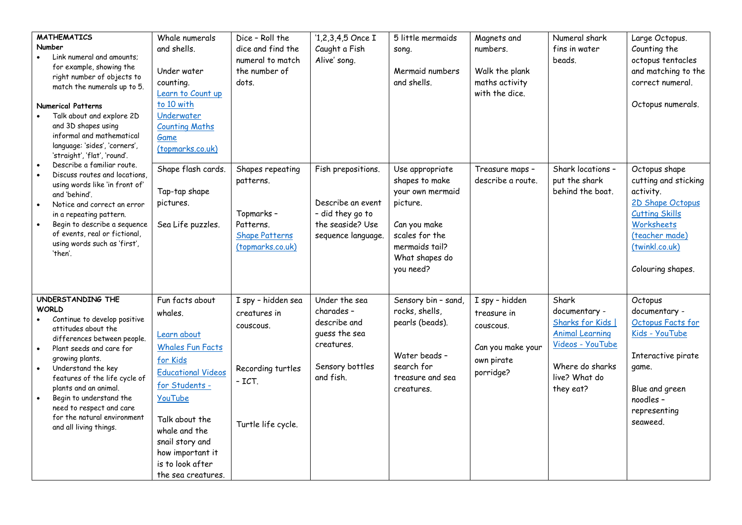| <b>MATHEMATICS</b><br>Number<br>Link numeral and amounts:<br>for example, showing the<br>right number of objects to<br>match the numerals up to 5.<br><b>Numerical Patterns</b><br>Talk about and explore 2D<br>and 3D shapes using<br>informal and mathematical<br>language: 'sides', 'corners',<br>'straight', 'flat', 'round'.<br>Describe a familiar route.<br>Discuss routes and locations. | Whale numerals<br>and shells.<br>Under water<br>counting.<br>Learn to Count up<br>to 10 with<br>Underwater<br><b>Counting Maths</b><br>Game<br>(topmarks.co.uk)<br>Shape flash cards.                                                       | Dice - Roll the<br>dice and find the<br>numeral to match<br>the number of<br>dots.<br>Shapes repeating | $1,2,3,4,5$ Once I<br>Caught a Fish<br>Alive' song.<br>Fish prepositions.                        | 5 little mermaids<br>song.<br>Mermaid numbers<br>and shells.<br>Use appropriate                                                   | Magnets and<br>numbers.<br>Walk the plank<br>maths activity<br>with the dice.<br>Treasure maps - | Numeral shark<br>fins in water<br>beads.<br>Shark locations -                                                                              | Large Octopus.<br>Counting the<br>octopus tentacles<br>and matching to the<br>correct numeral.<br>Octopus numerals.<br>Octopus shape                      |
|--------------------------------------------------------------------------------------------------------------------------------------------------------------------------------------------------------------------------------------------------------------------------------------------------------------------------------------------------------------------------------------------------|---------------------------------------------------------------------------------------------------------------------------------------------------------------------------------------------------------------------------------------------|--------------------------------------------------------------------------------------------------------|--------------------------------------------------------------------------------------------------|-----------------------------------------------------------------------------------------------------------------------------------|--------------------------------------------------------------------------------------------------|--------------------------------------------------------------------------------------------------------------------------------------------|-----------------------------------------------------------------------------------------------------------------------------------------------------------|
| using words like 'in front of'<br>and 'behind'.<br>Notice and correct an error<br>in a repeating pattern.<br>Begin to describe a sequence<br>of events, real or fictional,<br>using words such as 'first',<br>'then'.<br>UNDERSTANDING THE                                                                                                                                                       | Tap-tap shape<br>pictures.<br>Sea Life puzzles.<br>Fun facts about                                                                                                                                                                          | patterns.<br>Topmarks -<br>Patterns.<br><b>Shape Patterns</b><br>(topmarks.co.uk)                      | Describe an event<br>- did they go to<br>the seaside? Use<br>sequence language.<br>Under the sea | shapes to make<br>your own mermaid<br>picture.<br>Can you make<br>scales for the<br>mermaids tail?<br>What shapes do<br>you need? | describe a route.                                                                                | put the shark<br>behind the boat.                                                                                                          | cutting and sticking<br>activity.<br>2D Shape Octopus<br><b>Cutting Skills</b><br>Worksheets<br>(teacher made)<br>(twinkl.co.uk)<br>Colouring shapes.     |
| <b>WORLD</b><br>Continue to develop positive<br>attitudes about the<br>differences between people.<br>Plant seeds and care for<br>growing plants.<br>Understand the key<br>features of the life cycle of<br>plants and an animal.<br>Begin to understand the<br>need to respect and care<br>for the natural environment<br>and all living things.                                                | whales.<br>Learn about<br><b>Whales Fun Facts</b><br>for Kids<br><b>Educational Videos</b><br>for Students -<br>YouTube<br>Talk about the<br>whale and the<br>snail story and<br>how important it<br>is to look after<br>the sea creatures. | I spy - hidden sea<br>creatures in<br>couscous.<br>Recording turtles<br>- ICT.<br>Turtle life cycle.   | charades -<br>describe and<br>quess the sea<br>creatures.<br>Sensory bottles<br>and fish.        | Sensory bin - sand,<br>rocks, shells,<br>pearls (beads).<br>Water beads -<br>search for<br>treasure and sea<br>creatures.         | I spy - hidden<br>treasure in<br>couscous.<br>Can you make your<br>own pirate<br>porridge?       | Shark<br>documentary -<br>Sharks for Kids  <br><b>Animal Learning</b><br>Videos - YouTube<br>Where do sharks<br>live? What do<br>they eat? | Octopus<br>documentary -<br>Octopus Facts for<br>Kids - YouTube<br>Interactive pirate<br>game.<br>Blue and green<br>noodles -<br>representing<br>seaweed. |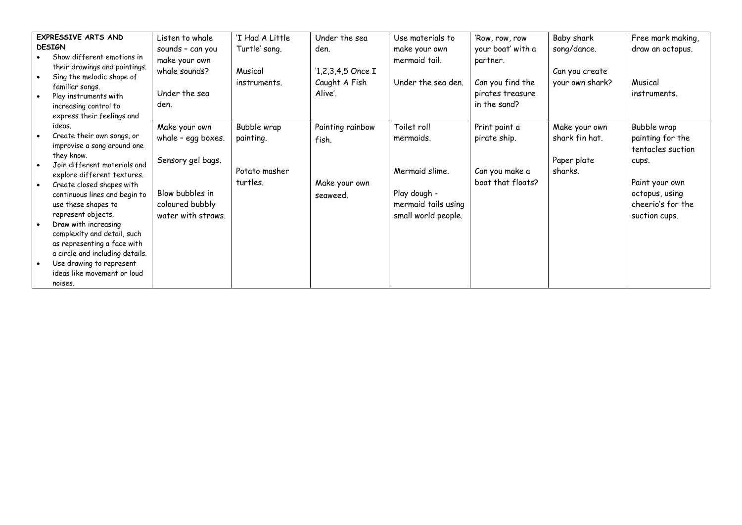| EXPRESSIVE ARTS AND<br><b>DESIGN</b><br>Show different emotions in<br>their drawings and paintings.<br>Sing the melodic shape of<br>$\bullet$<br>familiar songs.<br>Play instruments with<br>$\bullet$<br>increasing control to | Listen to whale<br>sounds - can you<br>make your own<br>whale sounds?<br>Under the sea<br>den.                                                                                                                                                                            | 'I Had A Little<br>Turtle' song.<br>Musical<br>instruments.                 | Under the sea<br>den.<br>$1,2,3,4,5$ Once I<br>Caught A Fish<br>Alive'. | Use materials to<br>make your own<br>mermaid tail.<br>Under the sea den. | 'Row, row, row<br>your boat' with a<br>partner.<br>Can you find the<br>pirates treasure<br>in the sand? | Baby shark<br>song/dance.<br>Can you create<br>your own shark?       | Free mark making,<br>draw an octopus.<br>Musical<br>instruments. |                                                                                                   |
|---------------------------------------------------------------------------------------------------------------------------------------------------------------------------------------------------------------------------------|---------------------------------------------------------------------------------------------------------------------------------------------------------------------------------------------------------------------------------------------------------------------------|-----------------------------------------------------------------------------|-------------------------------------------------------------------------|--------------------------------------------------------------------------|---------------------------------------------------------------------------------------------------------|----------------------------------------------------------------------|------------------------------------------------------------------|---------------------------------------------------------------------------------------------------|
| $\bullet$<br>$\bullet$                                                                                                                                                                                                          | express their feelings and<br>ideas.<br>Create their own songs, or<br>improvise a song around one<br>they know.<br>Join different materials and<br>explore different textures.<br>Create closed shapes with                                                               | Make your own<br>whale - egg boxes.<br>Sensory gel bags.<br>Blow bubbles in | Bubble wrap<br>painting.<br>Potato masher<br>turtles.                   | Painting rainbow<br>fish.<br>Make your own                               | Toilet roll<br>mermaids.<br>Mermaid slime.<br>Play dough -                                              | Print paint a<br>pirate ship.<br>Can you make a<br>boat that floats? | Make your own<br>shark fin hat.<br>Paper plate<br>sharks.        | Bubble wrap<br>painting for the<br>tentacles suction<br>cups.<br>Paint your own<br>octopus, using |
| $\bullet$                                                                                                                                                                                                                       | continuous lines and begin to<br>use these shapes to<br>represent objects.<br>Draw with increasing<br>complexity and detail, such<br>as representing a face with<br>a circle and including details.<br>Use drawing to represent<br>ideas like movement or loud<br>noises. | coloured bubbly<br>water with straws.                                       |                                                                         | seaweed.                                                                 | mermaid tails using<br>small world people.                                                              |                                                                      |                                                                  | cheerio's for the<br>suction cups.                                                                |